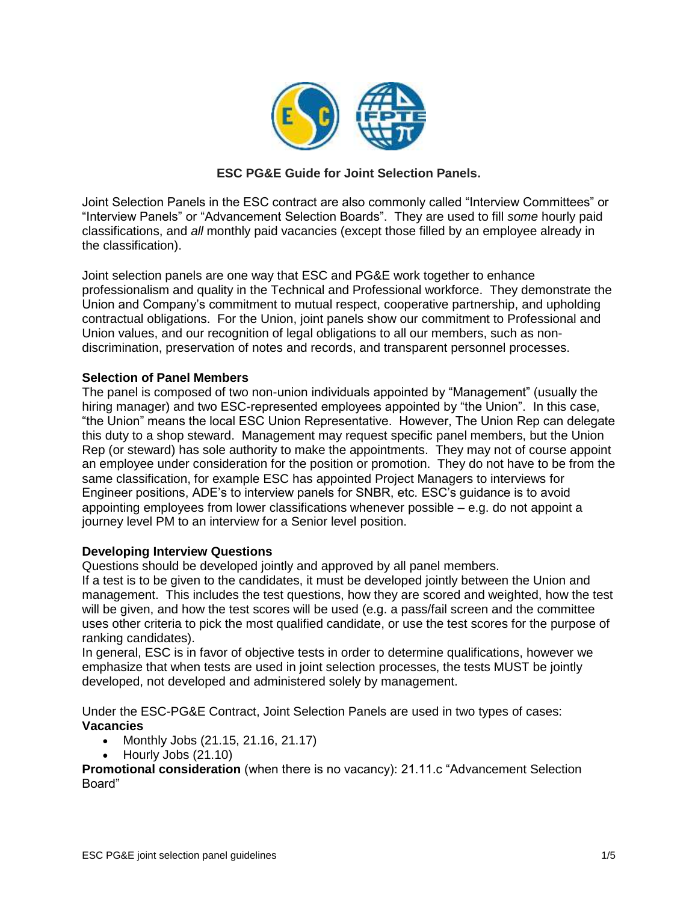

# **ESC PG&E Guide for Joint Selection Panels.**

Joint Selection Panels in the ESC contract are also commonly called "Interview Committees" or "Interview Panels" or "Advancement Selection Boards". They are used to fill *some* hourly paid classifications, and *all* monthly paid vacancies (except those filled by an employee already in the classification).

Joint selection panels are one way that ESC and PG&E work together to enhance professionalism and quality in the Technical and Professional workforce. They demonstrate the Union and Company's commitment to mutual respect, cooperative partnership, and upholding contractual obligations. For the Union, joint panels show our commitment to Professional and Union values, and our recognition of legal obligations to all our members, such as nondiscrimination, preservation of notes and records, and transparent personnel processes.

## **Selection of Panel Members**

The panel is composed of two non-union individuals appointed by "Management" (usually the hiring manager) and two ESC-represented employees appointed by "the Union". In this case, "the Union" means the local ESC Union Representative. However, The Union Rep can delegate this duty to a shop steward. Management may request specific panel members, but the Union Rep (or steward) has sole authority to make the appointments. They may not of course appoint an employee under consideration for the position or promotion. They do not have to be from the same classification, for example ESC has appointed Project Managers to interviews for Engineer positions, ADE's to interview panels for SNBR, etc. ESC's guidance is to avoid appointing employees from lower classifications whenever possible – e.g. do not appoint a journey level PM to an interview for a Senior level position.

# **Developing Interview Questions**

Questions should be developed jointly and approved by all panel members.

If a test is to be given to the candidates, it must be developed jointly between the Union and management. This includes the test questions, how they are scored and weighted, how the test will be given, and how the test scores will be used (e.g. a pass/fail screen and the committee uses other criteria to pick the most qualified candidate, or use the test scores for the purpose of ranking candidates).

In general, ESC is in favor of objective tests in order to determine qualifications, however we emphasize that when tests are used in joint selection processes, the tests MUST be jointly developed, not developed and administered solely by management.

Under the ESC-PG&E Contract, Joint Selection Panels are used in two types of cases: **Vacancies**

- Monthly Jobs  $(21.15, 21.16, 21.17)$
- Hourly Jobs (21.10)

**Promotional consideration** (when there is no vacancy): 21.11.c "Advancement Selection Board"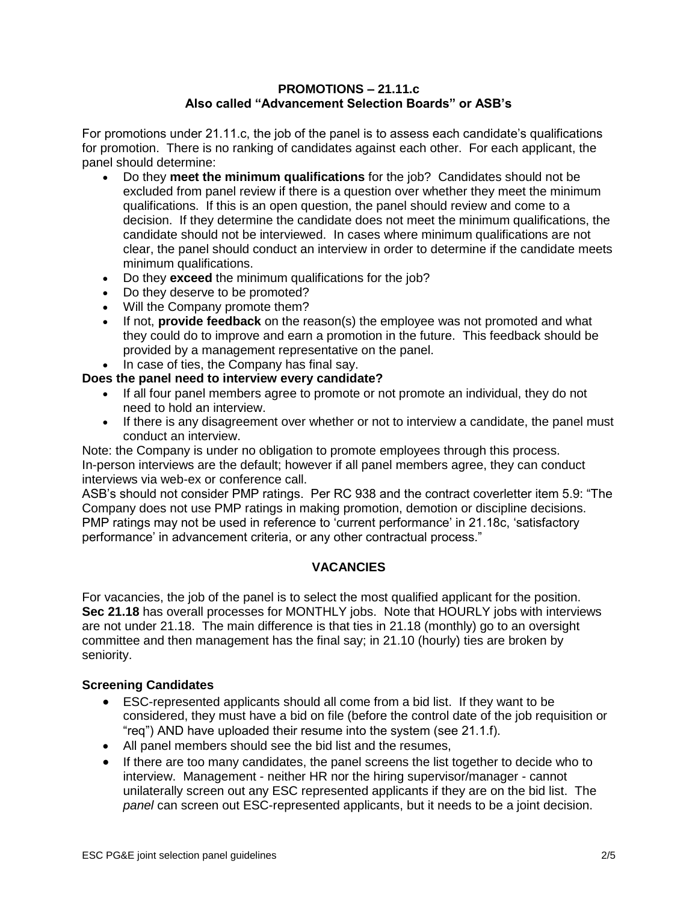## **PROMOTIONS – 21.11.c Also called "Advancement Selection Boards" or ASB's**

For promotions under 21.11.c, the job of the panel is to assess each candidate's qualifications for promotion. There is no ranking of candidates against each other. For each applicant, the panel should determine:

- Do they **meet the minimum qualifications** for the job? Candidates should not be excluded from panel review if there is a question over whether they meet the minimum qualifications. If this is an open question, the panel should review and come to a decision. If they determine the candidate does not meet the minimum qualifications, the candidate should not be interviewed. In cases where minimum qualifications are not clear, the panel should conduct an interview in order to determine if the candidate meets minimum qualifications.
- Do they **exceed** the minimum qualifications for the job?
- Do they deserve to be promoted?
- Will the Company promote them?
- If not, **provide feedback** on the reason(s) the employee was not promoted and what they could do to improve and earn a promotion in the future. This feedback should be provided by a management representative on the panel.
- In case of ties, the Company has final say.

# **Does the panel need to interview every candidate?**

- If all four panel members agree to promote or not promote an individual, they do not need to hold an interview.
- If there is any disagreement over whether or not to interview a candidate, the panel must conduct an interview.

Note: the Company is under no obligation to promote employees through this process. In-person interviews are the default; however if all panel members agree, they can conduct interviews via web-ex or conference call.

ASB's should not consider PMP ratings. Per RC 938 and the contract coverletter item 5.9: "The Company does not use PMP ratings in making promotion, demotion or discipline decisions. PMP ratings may not be used in reference to 'current performance' in 21.18c, 'satisfactory performance' in advancement criteria, or any other contractual process."

# **VACANCIES**

For vacancies, the job of the panel is to select the most qualified applicant for the position. **Sec 21.18** has overall processes for MONTHLY jobs. Note that HOURLY jobs with interviews are not under 21.18. The main difference is that ties in 21.18 (monthly) go to an oversight committee and then management has the final say; in 21.10 (hourly) ties are broken by seniority.

# **Screening Candidates**

- ESC-represented applicants should all come from a bid list. If they want to be considered, they must have a bid on file (before the control date of the job requisition or "req") AND have uploaded their resume into the system (see 21.1.f).
- All panel members should see the bid list and the resumes,
- If there are too many candidates, the panel screens the list together to decide who to interview. Management - neither HR nor the hiring supervisor/manager - cannot unilaterally screen out any ESC represented applicants if they are on the bid list. The *panel* can screen out ESC-represented applicants, but it needs to be a joint decision.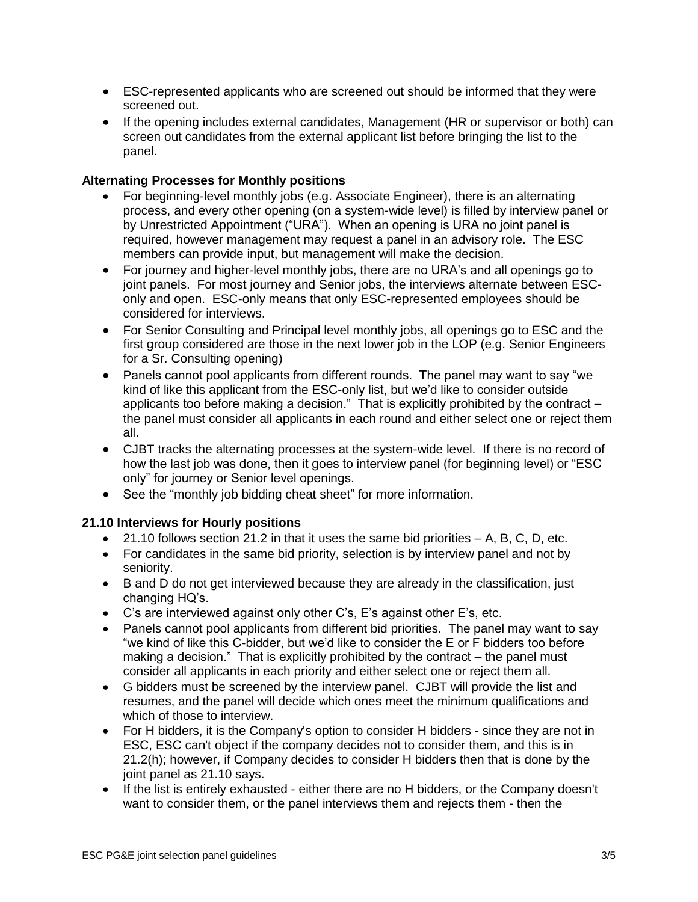- ESC-represented applicants who are screened out should be informed that they were screened out.
- If the opening includes external candidates, Management (HR or supervisor or both) can screen out candidates from the external applicant list before bringing the list to the panel.

# **Alternating Processes for Monthly positions**

- For beginning-level monthly jobs (e.g. Associate Engineer), there is an alternating process, and every other opening (on a system-wide level) is filled by interview panel or by Unrestricted Appointment ("URA"). When an opening is URA no joint panel is required, however management may request a panel in an advisory role. The ESC members can provide input, but management will make the decision.
- For journey and higher-level monthly jobs, there are no URA's and all openings go to joint panels. For most journey and Senior jobs, the interviews alternate between ESConly and open. ESC-only means that only ESC-represented employees should be considered for interviews.
- For Senior Consulting and Principal level monthly jobs, all openings go to ESC and the first group considered are those in the next lower job in the LOP (e.g. Senior Engineers for a Sr. Consulting opening)
- Panels cannot pool applicants from different rounds. The panel may want to say "we kind of like this applicant from the ESC-only list, but we'd like to consider outside applicants too before making a decision." That is explicitly prohibited by the contract – the panel must consider all applicants in each round and either select one or reject them all.
- CJBT tracks the alternating processes at the system-wide level. If there is no record of how the last job was done, then it goes to interview panel (for beginning level) or "ESC only" for journey or Senior level openings.
- See the "monthly job bidding cheat sheet" for more information.

# **21.10 Interviews for Hourly positions**

- $\bullet$  21.10 follows section 21.2 in that it uses the same bid priorities  $-$  A, B, C, D, etc.
- For candidates in the same bid priority, selection is by interview panel and not by seniority.
- B and D do not get interviewed because they are already in the classification, just changing HQ's.
- C's are interviewed against only other C's, E's against other E's, etc.
- Panels cannot pool applicants from different bid priorities. The panel may want to say "we kind of like this C-bidder, but we'd like to consider the E or F bidders too before making a decision." That is explicitly prohibited by the contract – the panel must consider all applicants in each priority and either select one or reject them all.
- G bidders must be screened by the interview panel. CJBT will provide the list and resumes, and the panel will decide which ones meet the minimum qualifications and which of those to interview.
- For H bidders, it is the Company's option to consider H bidders since they are not in ESC, ESC can't object if the company decides not to consider them, and this is in 21.2(h); however, if Company decides to consider H bidders then that is done by the joint panel as 21.10 says.
- If the list is entirely exhausted either there are no H bidders, or the Company doesn't want to consider them, or the panel interviews them and rejects them - then the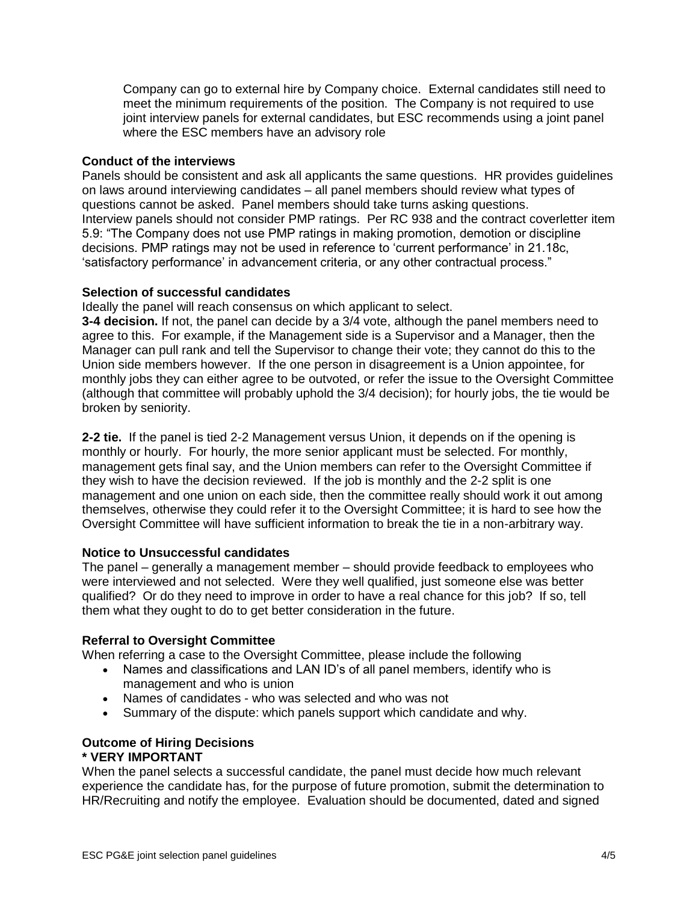Company can go to external hire by Company choice. External candidates still need to meet the minimum requirements of the position. The Company is not required to use joint interview panels for external candidates, but ESC recommends using a joint panel where the ESC members have an advisory role

## **Conduct of the interviews**

Panels should be consistent and ask all applicants the same questions. HR provides guidelines on laws around interviewing candidates – all panel members should review what types of questions cannot be asked. Panel members should take turns asking questions. Interview panels should not consider PMP ratings. Per RC 938 and the contract coverletter item 5.9: "The Company does not use PMP ratings in making promotion, demotion or discipline decisions. PMP ratings may not be used in reference to 'current performance' in 21.18c, 'satisfactory performance' in advancement criteria, or any other contractual process."

## **Selection of successful candidates**

Ideally the panel will reach consensus on which applicant to select.

**3-4 decision.** If not, the panel can decide by a 3/4 vote, although the panel members need to agree to this. For example, if the Management side is a Supervisor and a Manager, then the Manager can pull rank and tell the Supervisor to change their vote; they cannot do this to the Union side members however. If the one person in disagreement is a Union appointee, for monthly jobs they can either agree to be outvoted, or refer the issue to the Oversight Committee (although that committee will probably uphold the 3/4 decision); for hourly jobs, the tie would be broken by seniority.

**2-2 tie.** If the panel is tied 2-2 Management versus Union, it depends on if the opening is monthly or hourly. For hourly, the more senior applicant must be selected. For monthly, management gets final say, and the Union members can refer to the Oversight Committee if they wish to have the decision reviewed. If the job is monthly and the 2-2 split is one management and one union on each side, then the committee really should work it out among themselves, otherwise they could refer it to the Oversight Committee; it is hard to see how the Oversight Committee will have sufficient information to break the tie in a non-arbitrary way.

## **Notice to Unsuccessful candidates**

The panel – generally a management member – should provide feedback to employees who were interviewed and not selected. Were they well qualified, just someone else was better qualified? Or do they need to improve in order to have a real chance for this job? If so, tell them what they ought to do to get better consideration in the future.

## **Referral to Oversight Committee**

When referring a case to the Oversight Committee, please include the following

- Names and classifications and LAN ID's of all panel members, identify who is management and who is union
- Names of candidates who was selected and who was not
- Summary of the dispute: which panels support which candidate and why.

## **Outcome of Hiring Decisions \* VERY IMPORTANT**

When the panel selects a successful candidate, the panel must decide how much relevant experience the candidate has, for the purpose of future promotion, submit the determination to HR/Recruiting and notify the employee. Evaluation should be documented, dated and signed